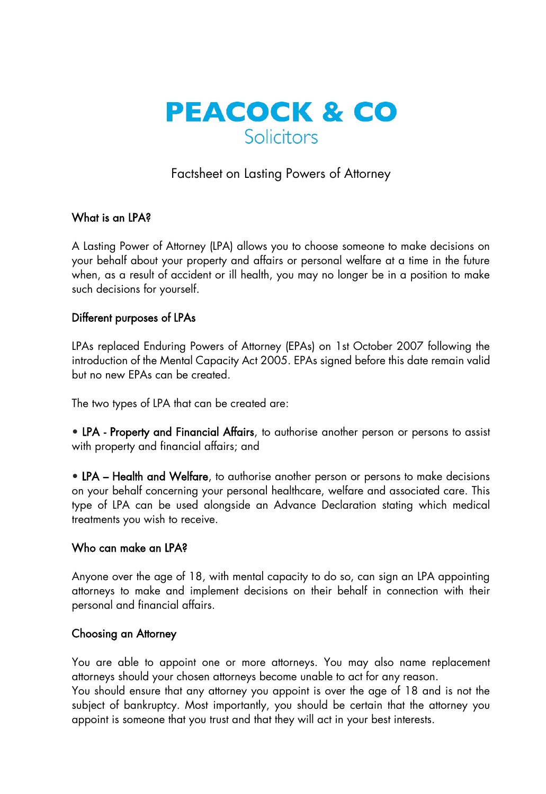

# Factsheet on Lasting Powers of Attorney

# What is an IPA?

A Lasting Power of Attorney (LPA) allows you to choose someone to make decisions on your behalf about your property and affairs or personal welfare at a time in the future when, as a result of accident or ill health, you may no longer be in a position to make such decisions for yourself.

## Different purposes of LPAs

LPAs replaced Enduring Powers of Attorney (EPAs) on 1st October 2007 following the introduction of the Mental Capacity Act 2005. EPAs signed before this date remain valid but no new EPAs can be created.

The two types of LPA that can be created are:

• LPA - Property and Financial Affairs, to authorise another person or persons to assist with property and financial affairs; and

• LPA – Health and Welfare, to authorise another person or persons to make decisions on your behalf concerning your personal healthcare, welfare and associated care. This type of LPA can be used alongside an Advance Declaration stating which medical treatments you wish to receive.

## Who can make an LPA?

Anyone over the age of 18, with mental capacity to do so, can sign an LPA appointing attorneys to make and implement decisions on their behalf in connection with their personal and financial affairs.

#### Choosing an Attorney

You are able to appoint one or more attorneys. You may also name replacement attorneys should your chosen attorneys become unable to act for any reason.

You should ensure that any attorney you appoint is over the age of 18 and is not the subject of bankruptcy. Most importantly, you should be certain that the attorney you appoint is someone that you trust and that they will act in your best interests.